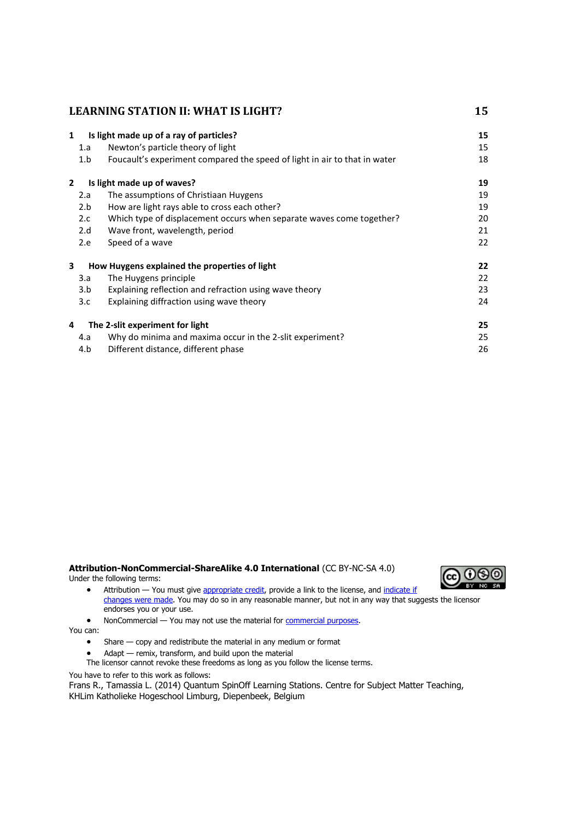| $\mathbf{1}$ | Is light made up of a ray of particles? |                                                                           |    |
|--------------|-----------------------------------------|---------------------------------------------------------------------------|----|
|              | 1.a                                     | Newton's particle theory of light                                         | 15 |
|              | 1.b                                     | Foucault's experiment compared the speed of light in air to that in water | 18 |
| $\mathbf{2}$ |                                         | Is light made up of waves?                                                | 19 |
|              | 2.a                                     | The assumptions of Christiaan Huygens                                     | 19 |
|              | 2.b                                     | How are light rays able to cross each other?                              | 19 |
|              | 2.c                                     | Which type of displacement occurs when separate waves come together?      | 20 |
|              | 2.d                                     | Wave front, wavelength, period                                            | 21 |
|              | 2.e                                     | Speed of a wave                                                           | 22 |
| 3            |                                         | How Huygens explained the properties of light                             | 22 |
|              | 3.a                                     | The Huygens principle                                                     | 22 |
|              | 3.b                                     | Explaining reflection and refraction using wave theory                    | 23 |
|              | 3.c                                     | Explaining diffraction using wave theory                                  | 24 |
| 4            |                                         | The 2-slit experiment for light                                           | 25 |
|              | 4.a                                     | Why do minima and maxima occur in the 2-slit experiment?                  | 25 |
|              | 4.b                                     | Different distance, different phase                                       | 26 |

#### **Attribution-NonCommercial-ShareAlike 4.0 International** (CC BY-NC-SA 4.0) Under the following terms:



• Attribution — You must give [appropriate credit,](https://creativecommons.org/licenses/by-nc-sa/4.0/) provide a link to the license, and indicate if [changes were made.](https://creativecommons.org/licenses/by-nc-sa/4.0/) You may do so in any reasonable manner, but not in any way that suggests the licensor endorses you or your use.

• NonCommercial — You may not use the material for [commercial purposes.](https://creativecommons.org/licenses/by-nc-sa/4.0/)

You can:

- Share copy and redistribute the material in any medium or format
- Adapt remix, transform, and build upon the material
- The licensor cannot revoke these freedoms as long as you follow the license terms.

You have to refer to this work as follows:

Frans R., Tamassia L. (2014) Quantum SpinOff Learning Stations. Centre for Subject Matter Teaching, KHLim Katholieke Hogeschool Limburg, Diepenbeek, Belgium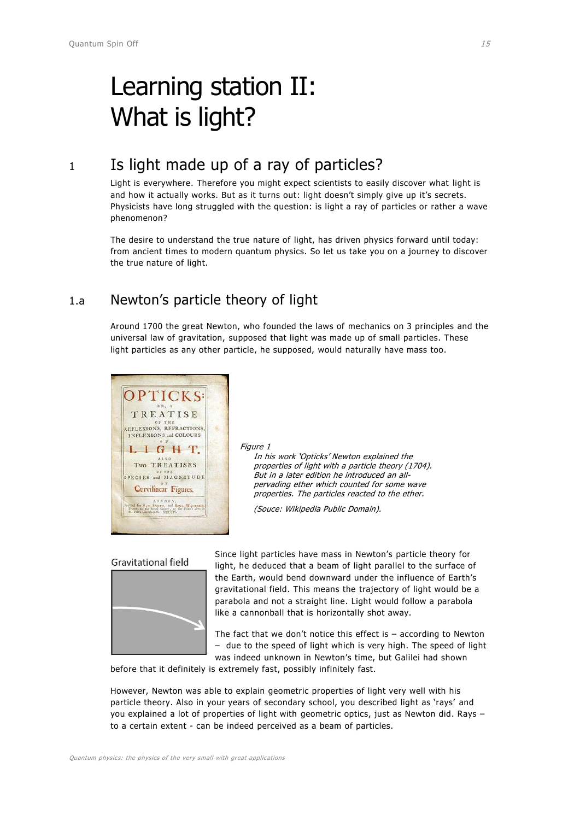# <span id="page-1-0"></span>Learning station II: What is light?

# <span id="page-1-1"></span><sup>1</sup> Is light made up of a ray of particles?

Light is everywhere. Therefore you might expect scientists to easily discover what light is and how it actually works. But as it turns out: light doesn't simply give up it's secrets. Physicists have long struggled with the question: is light a ray of particles or rather a wave phenomenon?

The desire to understand the true nature of light, has driven physics forward until today: from ancient times to modern quantum physics. So let us take you on a journey to discover the true nature of light.

### <span id="page-1-2"></span>1.a Newton's particle theory of light

Around 1700 the great Newton, who founded the laws of mechanics on 3 principles and the universal law of gravitation, supposed that light was made up of small particles. These light particles as any other particle, he supposed, would naturally have mass too.



Figure 1

In his work 'Opticks' Newton explained the properties of light with a particle theory (1704). But in a later edition he introduced an allpervading ether which counted for some wave properties. The particles reacted to the ether.

(Souce: Wikipedia Public Domain).

#### **Gravitational field**



Since light particles have mass in Newton's particle theory for light, he deduced that a beam of light parallel to the surface of the Earth, would bend downward under the influence of Earth's gravitational field. This means the trajectory of light would be a parabola and not a straight line. Light would follow a parabola like a cannonball that is horizontally shot away.

The fact that we don't notice this effect is  $-$  according to Newton – due to the speed of light which is very high. The speed of light was indeed unknown in Newton's time, but Galilei had shown

before that it definitely is extremely fast, possibly infinitely fast.

However, Newton was able to explain geometric properties of light very well with his particle theory. Also in your years of secondary school, you described light as 'rays' and you explained a lot of properties of light with geometric optics, just as Newton did. Rays – to a certain extent - can be indeed perceived as a beam of particles.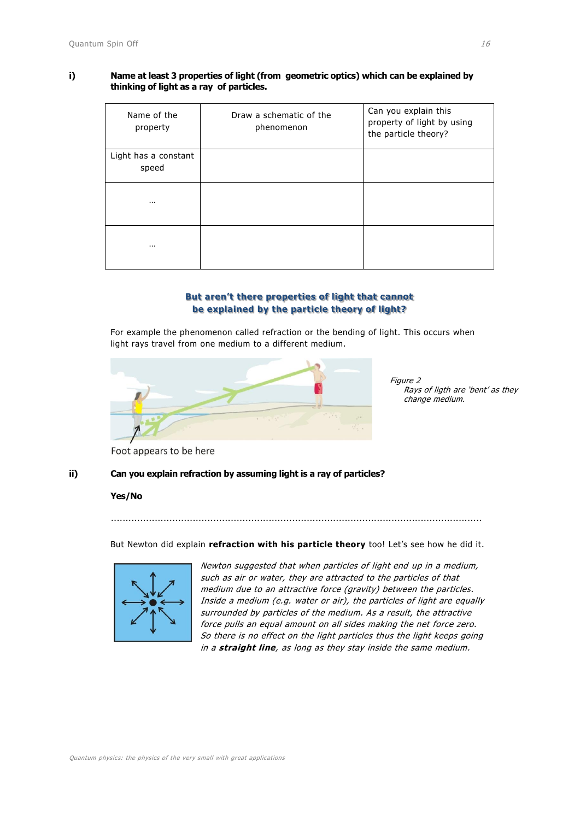#### **i) Name at least 3 properties of light (from geometric optics) which can be explained by thinking of light as a ray of particles.**

| Name of the<br>property       | Draw a schematic of the<br>phenomenon | Can you explain this<br>property of light by using<br>the particle theory? |
|-------------------------------|---------------------------------------|----------------------------------------------------------------------------|
| Light has a constant<br>speed |                                       |                                                                            |
| $\cdots$                      |                                       |                                                                            |
| $\cdots$                      |                                       |                                                                            |

#### **But aren't there properties of light that cannot be explained by the particle theory of light?**

For example the phenomenon called refraction or the bending of light. This occurs when light rays travel from one medium to a different medium.



Figure 2 Rays of ligth are 'bent' as they change medium.

Foot appears to be here

#### **ii) Can you explain refraction by assuming light is a ray of particles?**

#### **Yes/No**

But Newton did explain **refraction with his particle theory** too! Let's see how he did it.

...............................................................................................................................



Newton suggested that when particles of light end up in a medium, such as air or water, they are attracted to the particles of that medium due to an attractive force (gravity) between the particles. Inside a medium (e.g. water or air), the particles of light are equally surrounded by particles of the medium. As a result, the attractive force pulls an equal amount on all sides making the net force zero. So there is no effect on the light particles thus the light keeps going in a **straight line**, as long as they stay inside the same medium.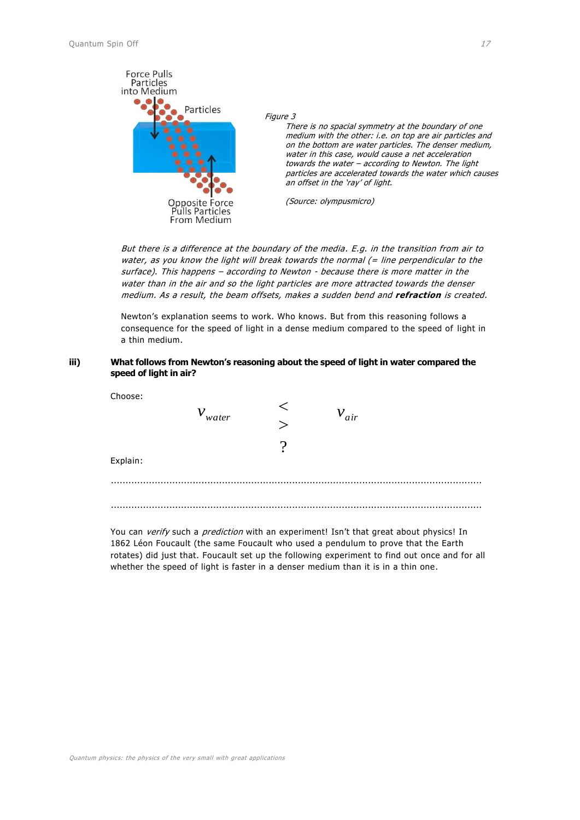

#### Figure 3

There is no spacial symmetry at the boundary of one medium with the other: i.e. on top are air particles and on the bottom are water particles. The denser medium, water in this case, would cause a net acceleration towards the water – according to Newton. The light particles are accelerated towards the water which causes an offset in the 'ray' of light.

(Source: olympusmicro)

But there is a difference at the boundary of the media. E.g. in the transition from air to water, as you know the light will break towards the normal  $(=$  line perpendicular to the surface). This happens – according to Newton - because there is more matter in the water than in the air and so the light particles are more attracted towards the denser medium. As a result, the beam offsets, makes a sudden bend and **refraction** is created.

Newton's explanation seems to work. Who knows. But from this reasoning follows a consequence for the speed of light in a dense medium compared to the speed of light in a thin medium.

#### **iii) What follows from Newton's reasoning about the speed of light in water compared the speed of light in air?**

| Choose:  | $v_{\text{water}}$ | $v_{air}$ |   |
|----------|--------------------|-----------|---|
| Explain: |                    |           |   |
|          |                    |           | . |

You can verify such a prediction with an experiment! Isn't that great about physics! In 1862 Léon Foucault (the same Foucault who used a pendulum to prove that the Earth rotates) did just that. Foucault set up the following experiment to find out once and for all whether the speed of light is faster in a denser medium than it is in a thin one.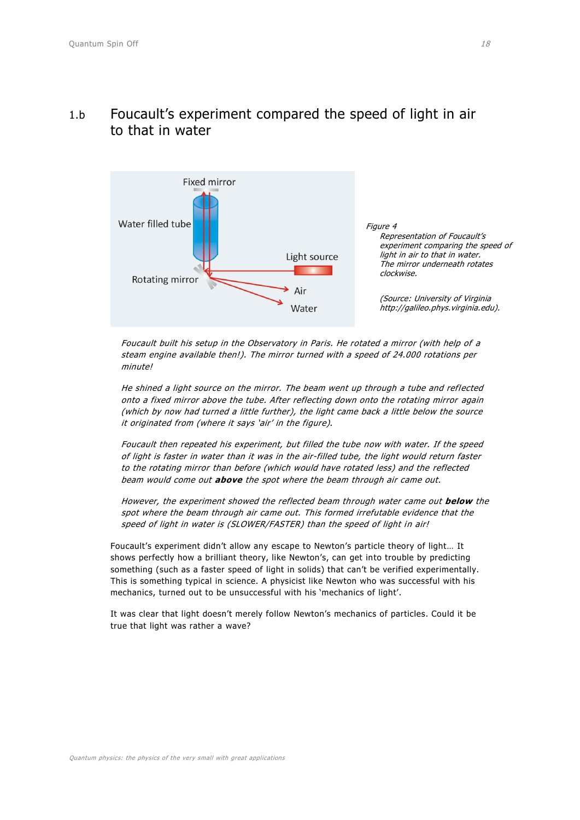

### <span id="page-4-0"></span>1.b Foucault's experiment compared the speed of light in air to that in water

Foucault built his setup in the Observatory in Paris. He rotated a mirror (with help of a steam engine available then!). The mirror turned with a speed of 24.000 rotations per minutel

He shined a light source on the mirror. The beam went up through a tube and reflected onto a fixed mirror above the tube. After reflecting down onto the rotating mirror again (which by now had turned a little further), the light came back a little below the source it originated from (where it says 'air' in the figure).

Foucault then repeated his experiment, but filled the tube now with water. If the speed of light is faster in water than it was in the air-filled tube, the light would return faster to the rotating mirror than before (which would have rotated less) and the reflected beam would come out **above** the spot where the beam through air came out.

However, the experiment showed the reflected beam through water came out **below** the spot where the beam through air came out. This formed irrefutable evidence that the speed of light in water is (SLOWER/FASTER) than the speed of light in air!

Foucault's experiment didn't allow any escape to Newton's particle theory of light… It shows perfectly how a brilliant theory, like Newton's, can get into trouble by predicting something (such as a faster speed of light in solids) that can't be verified experimentally. This is something typical in science. A physicist like Newton who was successful with his mechanics, turned out to be unsuccessful with his 'mechanics of light'.

It was clear that light doesn't merely follow Newton's mechanics of particles. Could it be true that light was rather a wave?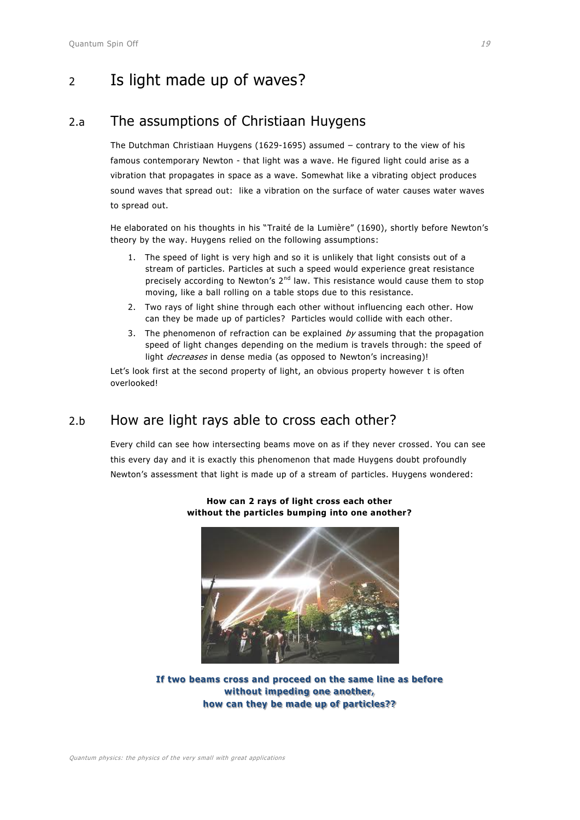# <span id="page-5-1"></span><span id="page-5-0"></span><sup>2</sup> Is light made up of waves?

### 2.a The assumptions of Christiaan Huygens

The Dutchman Christiaan Huygens (1629-1695) assumed – contrary to the view of his famous contemporary Newton - that light was a wave. He figured light could arise as a vibration that propagates in space as a wave. Somewhat like a vibrating object produces sound waves that spread out: like a vibration on the surface of water causes water waves to spread out.

He elaborated on his thoughts in his "Traité de la Lumière" (1690), shortly before Newton's theory by the way. Huygens relied on the following assumptions:

- 1. The speed of light is very high and so it is unlikely that light consists out of a stream of particles. Particles at such a speed would experience great resistance precisely according to Newton's  $2^{nd}$  law. This resistance would cause them to stop moving, like a ball rolling on a table stops due to this resistance.
- 2. Two rays of light shine through each other without influencing each other. How can they be made up of particles? Particles would collide with each other.
- 3. The phenomenon of refraction can be explained  $b\gamma$  assuming that the propagation speed of light changes depending on the medium is travels through: the speed of light *decreases* in dense media (as opposed to Newton's increasing)!

Let's look first at the second property of light, an obvious property however t is often overlooked!

### <span id="page-5-2"></span>2.b How are light rays able to cross each other?

Every child can see how intersecting beams move on as if they never crossed. You can see this every day and it is exactly this phenomenon that made Huygens doubt profoundly Newton's assessment that light is made up of a stream of particles. Huygens wondered:



**How can 2 rays of light cross each other without the particles bumping into one another?**

**If two beams cross and proceed on the same line as before without impeding one another, how can they be made up of particles??**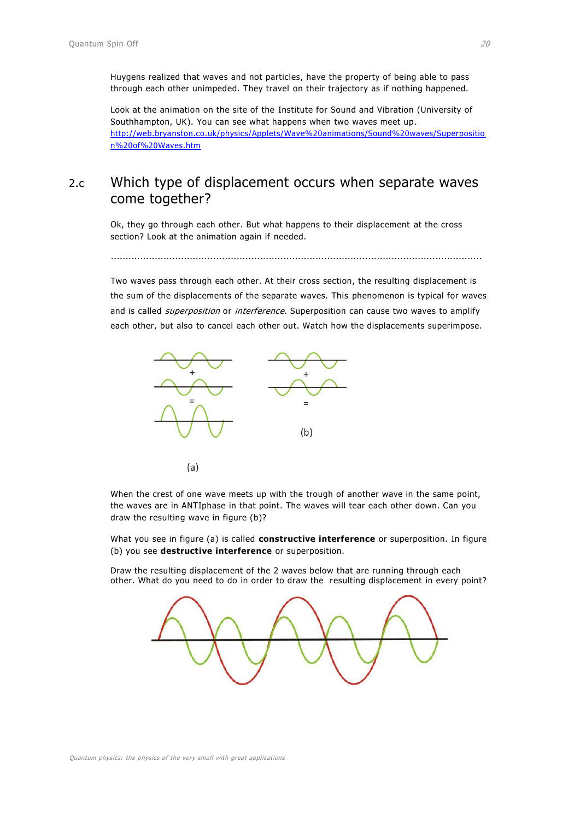Huygens realized that waves and not particles, have the property of being able to pass through each other unimpeded. They travel on their trajectory as if nothing happened.

Look at the animation on the site of the Institute for Sound and Vibration (University of Southhampton, UK). You can see what happens when two waves meet up. [http://web.bryanston.co.uk/physics/Applets/Wave%20animations/Sound%20waves/Superpositio](http://web.bryanston.co.uk/physics/Applets/Wave%20animations/Sound%20waves/Superposition%20of%20Waves.htm) [n%20of%20Waves.htm](http://web.bryanston.co.uk/physics/Applets/Wave%20animations/Sound%20waves/Superposition%20of%20Waves.htm)

### <span id="page-6-0"></span>2.c Which type of displacement occurs when separate waves come together?

Ok, they go through each other. But what happens to their displacement at the cross section? Look at the animation again if needed.

...............................................................................................................................

Two waves pass through each other. At their cross section, the resulting displacement is the sum of the displacements of the separate waves. This phenomenon is typical for waves and is called *superposition* or *interference*. Superposition can cause two waves to amplify each other, but also to cancel each other out. Watch how the displacements superimpose.



When the crest of one wave meets up with the trough of another wave in the same point, the waves are in ANTIphase in that point. The waves will tear each other down. Can you draw the resulting wave in figure (b)?

What you see in figure (a) is called **constructive interference** or superposition. In figure (b) you see **destructive interference** or superposition.

Draw the resulting displacement of the 2 waves below that are running through each other. What do you need to do in order to draw the resulting displacement in every point?

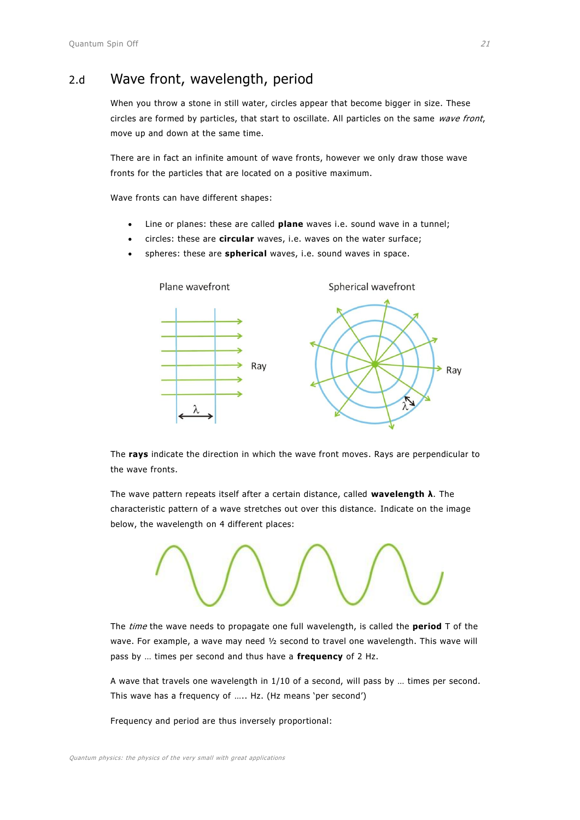### <span id="page-7-0"></span>2.d Wave front, wavelength, period

When you throw a stone in still water, circles appear that become bigger in size. These circles are formed by particles, that start to oscillate. All particles on the same wave front, move up and down at the same time.

There are in fact an infinite amount of wave fronts, however we only draw those wave fronts for the particles that are located on a positive maximum.

Wave fronts can have different shapes:

- Line or planes: these are called **plane** waves i.e. sound wave in a tunnel;
- circles: these are **circular** waves, i.e. waves on the water surface;
- spheres: these are **spherical** waves, i.e. sound waves in space.



The **rays** indicate the direction in which the wave front moves. Rays are perpendicular to the wave fronts.

The wave pattern repeats itself after a certain distance, called **wavelength λ**. The characteristic pattern of a wave stretches out over this distance. Indicate on the image below, the wavelength on 4 different places:



The time the wave needs to propagate one full wavelength, is called the **period** T of the wave. For example, a wave may need ½ second to travel one wavelength. This wave will pass by … times per second and thus have a **frequency** of 2 Hz.

A wave that travels one wavelength in 1/10 of a second, will pass by … times per second. This wave has a frequency of ….. Hz. (Hz means 'per second')

Frequency and period are thus inversely proportional: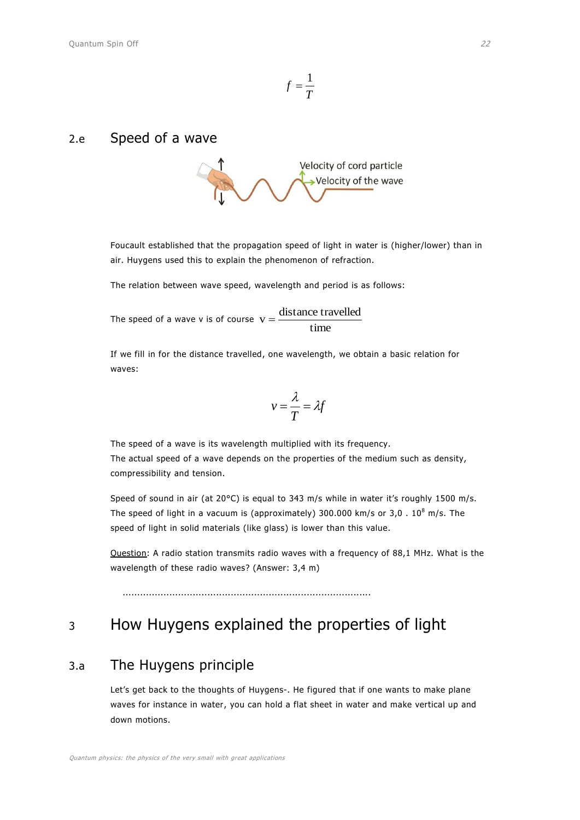$$
f=\frac{1}{T}
$$

### <span id="page-8-0"></span>2.e Speed of a wave



Foucault established that the propagation speed of light in water is (higher/lower) than in air. Huygens used this to explain the phenomenon of refraction.

The relation between wave speed, wavelength and period is as follows:

The speed of a wave v is of course  $v = \frac{1200 \text{ m/s}}{1 \text{ m/s}}$  $v = \frac{\text{distance travelled}}{\text{.}}$ 

If we fill in for the distance travelled, one wavelength, we obtain a basic relation for waves:

$$
v = \frac{\lambda}{T} = \lambda f
$$

The speed of a wave is its wavelength multiplied with its frequency. The actual speed of a wave depends on the properties of the medium such as density, compressibility and tension.

Speed of sound in air (at 20°C) is equal to 343 m/s while in water it's roughly 1500 m/s. The speed of light in a vacuum is (approximately) 300.000 km/s or  $3.0 \cdot 10^8$  m/s. The speed of light in solid materials (like glass) is lower than this value.

Question: A radio station transmits radio waves with a frequency of 88,1 MHz. What is the wavelength of these radio waves? (Answer: 3,4 m)

.....................................................................................

# <span id="page-8-2"></span><span id="page-8-1"></span><sup>3</sup> How Huygens explained the properties of light

### 3.a The Huygens principle

Let's get back to the thoughts of Huygens-. He figured that if one wants to make plane waves for instance in water, you can hold a flat sheet in water and make vertical up and down motions.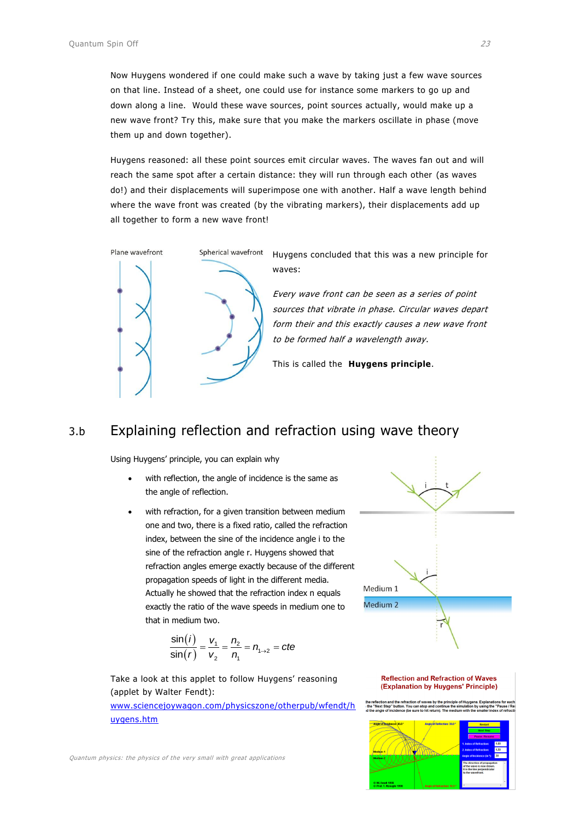Now Huygens wondered if one could make such a wave by taking just a few wave sources on that line. Instead of a sheet, one could use for instance some markers to go up and down along a line. Would these wave sources, point sources actually, would make up a new wave front? Try this, make sure that you make the markers oscillate in phase (move them up and down together).

Huygens reasoned: all these point sources emit circular waves. The waves fan out and will reach the same spot after a certain distance: they will run through each other (as waves do!) and their displacements will superimpose one with another. Half a wave length behind where the wave front was created (by the vibrating markers), their displacements add up all together to form a new wave front!



Huygens concluded that this was a new principle for waves:

Every wave front can be seen as a series of point sources that vibrate in phase. Circular waves depart form their and this exactly causes a new wave front to be formed half a wavelength away.

This is called the **Huygens principle**.

#### <span id="page-9-0"></span>3.b Explaining reflection and refraction using wave theory

Using Huygens' principle, you can explain why

- with reflection, the angle of incidence is the same as the angle of reflection.
- with refraction, for a given transition between medium one and two, there is a fixed ratio, called the refraction index, between the sine of the incidence angle i to the sine of the refraction angle r. Huygens showed that refraction angles emerge exactly because of the different propagation speeds of light in the different media. Actually he showed that the refraction index n equals exactly the ratio of the wave speeds in medium one to that in medium two.

$$
\frac{\sin(i)}{\sin(r)} = \frac{v_1}{v_2} = \frac{n_2}{n_1} = n_{1\to 2} = cte
$$

Take a look at this applet to follow Huygens' reasoning (applet by Walter Fendt):

[www.sciencejoywagon.com/physicszone/otherpub/wfendt/h](http://www.sciencejoywagon.com/physicszone/otherpub/wfendt/huygens.htm) [uygens.htm](http://www.sciencejoywagon.com/physicszone/otherpub/wfendt/huygens.htm)



#### **Reflection and Refraction of Waves** (Explanation by Huygens' Principle)

nd the refraction of waves by the<br>" button. You can stop and conti<br>ncidence (be sure to hit return). 1 nue the si



Quantum physics: the physics of the very small with great applications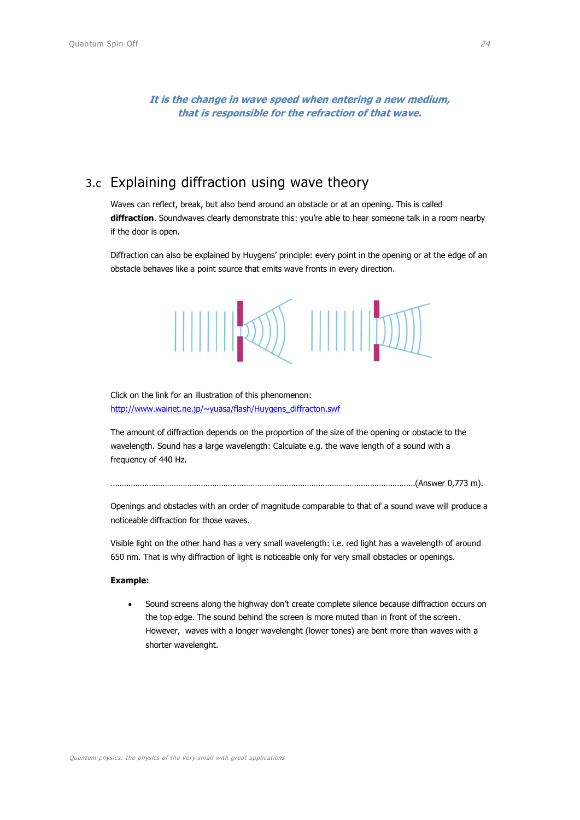**It is the change in wave speed when entering a new medium, that is responsible for the refraction of that wave.**

### <span id="page-10-0"></span>3.c Explaining diffraction using wave theory

Waves can reflect, break, but also bend around an obstacle or at an opening. This is called **diffraction**. Soundwaves clearly demonstrate this: you're able to hear someone talk in a room nearby if the door is open.

Diffraction can also be explained by Huygens' principle: every point in the opening or at the edge of an obstacle behaves like a point source that emits wave fronts in every direction.



Click on the link for an illustration of this phenomenon: [http://www.wainet.ne.jp/~yuasa/flash/Huygens\\_diffracton.swf](http://www.wainet.ne.jp/~yuasa/flash/Huygens_diffracton.swf)

The amount of diffraction depends on the proportion of the size of the opening or obstacle to the wavelength. Sound has a large wavelength: Calculate e.g. the wave length of a sound with a frequency of 440 Hz.

………………………………………………………………………………………………………………………(Answer 0,773 m).

Openings and obstacles with an order of magnitude comparable to that of a sound wave will produce a noticeable diffraction for those waves.

Visible light on the other hand has a very small wavelength: i.e. red light has a wavelength of around 650 nm. That is why diffraction of light is noticeable only for very small obstacles or openings.

#### **Example:**

 Sound screens along the highway don't create complete silence because diffraction occurs on the top edge. The sound behind the screen is more muted than in front of the screen. However, waves with a longer wavelenght (lower tones) are bent more than waves with a shorter wavelenght.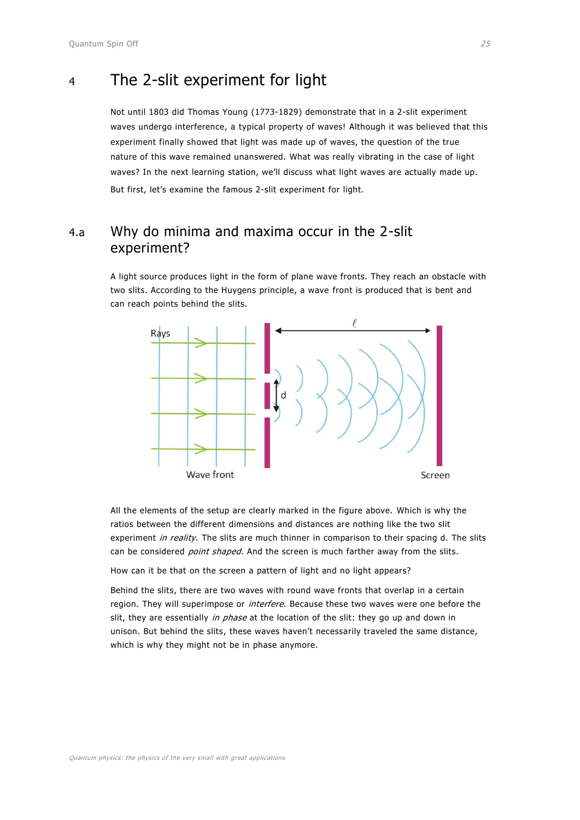## <span id="page-11-0"></span><sup>4</sup> The 2-slit experiment for light

Not until 1803 did Thomas Young (1773-1829) demonstrate that in a 2-slit experiment waves undergo interference, a typical property of waves! Although it was believed that this experiment finally showed that light was made up of waves, the question of the true nature of this wave remained unanswered. What was really vibrating in the case of light waves? In the next learning station, we'll discuss what light waves are actually made up. But first, let's examine the famous 2-slit experiment for light.

### <span id="page-11-1"></span>4.a Why do minima and maxima occur in the 2-slit experiment?

A light source produces light in the form of plane wave fronts. They reach an obstacle with two slits. According to the Huygens principle, a wave front is produced that is bent and can reach points behind the slits.



All the elements of the setup are clearly marked in the figure above. Which is why the ratios between the different dimensions and distances are nothing like the two slit experiment in reality. The slits are much thinner in comparison to their spacing d. The slits can be considered *point shaped*. And the screen is much farther away from the slits.

How can it be that on the screen a pattern of light and no light appears?

Behind the slits, there are two waves with round wave fronts that overlap in a certain region. They will superimpose or *interfere*. Because these two waves were one before the slit, they are essentially in phase at the location of the slit: they go up and down in unison. But behind the slits, these waves haven't necessarily traveled the same distance, which is why they might not be in phase anymore.